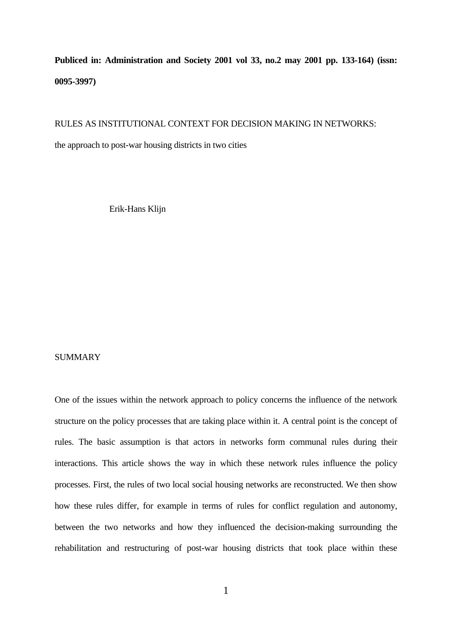# **Publiced in: Administration and Society 2001 vol 33, no.2 may 2001 pp. 133-164) (issn: 0095-3997)**

RULES AS INSTITUTIONAL CONTEXT FOR DECISION MAKING IN NETWORKS:

the approach to post-war housing districts in two cities

Erik-Hans Klijn

# **SUMMARY**

One of the issues within the network approach to policy concerns the influence of the network structure on the policy processes that are taking place within it. A central point is the concept of rules. The basic assumption is that actors in networks form communal rules during their interactions. This article shows the way in which these network rules influence the policy processes. First, the rules of two local social housing networks are reconstructed. We then show how these rules differ, for example in terms of rules for conflict regulation and autonomy, between the two networks and how they influenced the decision-making surrounding the rehabilitation and restructuring of post-war housing districts that took place within these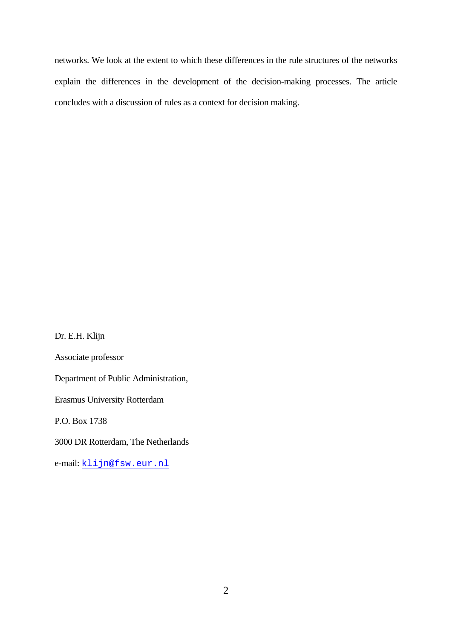networks. We look at the extent to which these differences in the rule structures of the networks explain the differences in the development of the decision-making processes. The article concludes with a discussion of rules as a context for decision making.

Dr. E.H. Klijn

Associate professor

Department of Public Administration,

Erasmus University Rotterdam

P.O. Box 1738

3000 DR Rotterdam, The Netherlands

e-mail: [klijn@fsw.eur.nl](mailto:klijn@bsk.fsw.eur.nl)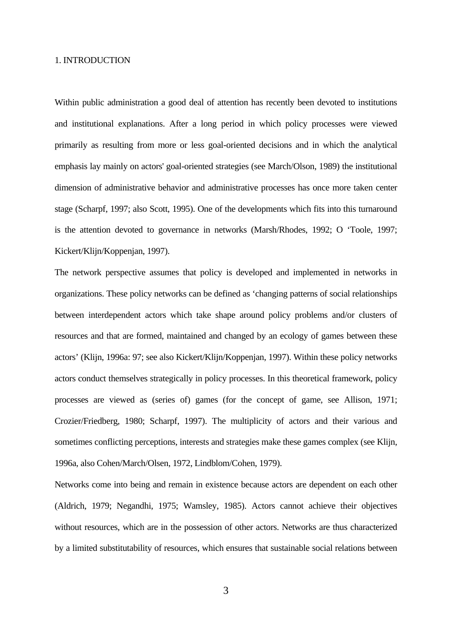## 1. INTRODUCTION

Within public administration a good deal of attention has recently been devoted to institutions and institutional explanations. After a long period in which policy processes were viewed primarily as resulting from more or less goal-oriented decisions and in which the analytical emphasis lay mainly on actors' goal-oriented strategies (see March/Olson, 1989) the institutional dimension of administrative behavior and administrative processes has once more taken center stage (Scharpf, 1997; also Scott, 1995). One of the developments which fits into this turnaround is the attention devoted to governance in networks (Marsh/Rhodes, 1992; O 'Toole, 1997; Kickert/Klijn/Koppenjan, 1997).

The network perspective assumes that policy is developed and implemented in networks in organizations. These policy networks can be defined as 'changing patterns of social relationships between interdependent actors which take shape around policy problems and/or clusters of resources and that are formed, maintained and changed by an ecology of games between these actors' (Klijn, 1996a: 97; see also Kickert/Klijn/Koppenjan, 1997). Within these policy networks actors conduct themselves strategically in policy processes. In this theoretical framework, policy processes are viewed as (series of) games (for the concept of game, see Allison, 1971; Crozier/Friedberg, 1980; Scharpf, 1997). The multiplicity of actors and their various and sometimes conflicting perceptions, interests and strategies make these games complex (see Klijn, 1996a, also Cohen/March/Olsen, 1972, Lindblom/Cohen, 1979).

Networks come into being and remain in existence because actors are dependent on each other (Aldrich, 1979; Negandhi, 1975; Wamsley, 1985). Actors cannot achieve their objectives without resources, which are in the possession of other actors. Networks are thus characterized by a limited substitutability of resources, which ensures that sustainable social relations between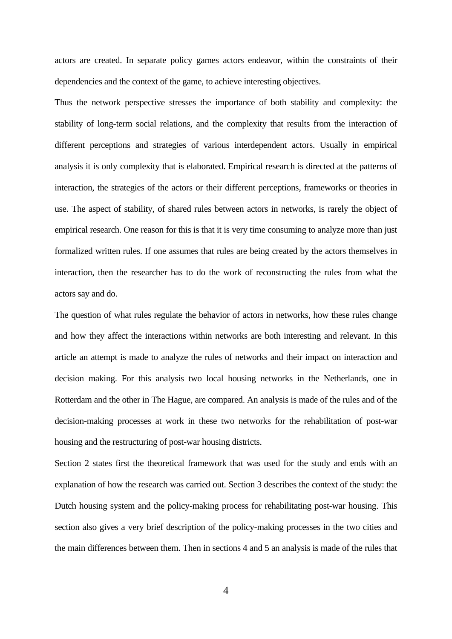actors are created. In separate policy games actors endeavor, within the constraints of their dependencies and the context of the game, to achieve interesting objectives.

Thus the network perspective stresses the importance of both stability and complexity: the stability of long-term social relations, and the complexity that results from the interaction of different perceptions and strategies of various interdependent actors. Usually in empirical analysis it is only complexity that is elaborated. Empirical research is directed at the patterns of interaction, the strategies of the actors or their different perceptions, frameworks or theories in use. The aspect of stability, of shared rules between actors in networks, is rarely the object of empirical research. One reason for this is that it is very time consuming to analyze more than just formalized written rules. If one assumes that rules are being created by the actors themselves in interaction, then the researcher has to do the work of reconstructing the rules from what the actors say and do.

The question of what rules regulate the behavior of actors in networks, how these rules change and how they affect the interactions within networks are both interesting and relevant. In this article an attempt is made to analyze the rules of networks and their impact on interaction and decision making. For this analysis two local housing networks in the Netherlands, one in Rotterdam and the other in The Hague, are compared. An analysis is made of the rules and of the decision-making processes at work in these two networks for the rehabilitation of post-war housing and the restructuring of post-war housing districts.

Section 2 states first the theoretical framework that was used for the study and ends with an explanation of how the research was carried out. Section 3 describes the context of the study: the Dutch housing system and the policy-making process for rehabilitating post-war housing. This section also gives a very brief description of the policy-making processes in the two cities and the main differences between them. Then in sections 4 and 5 an analysis is made of the rules that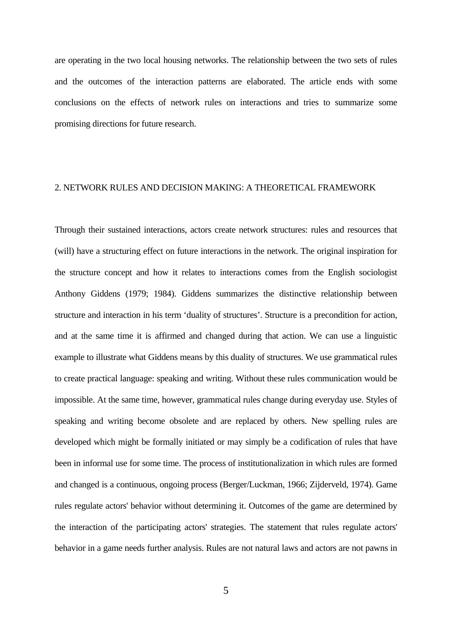are operating in the two local housing networks. The relationship between the two sets of rules and the outcomes of the interaction patterns are elaborated. The article ends with some conclusions on the effects of network rules on interactions and tries to summarize some promising directions for future research.

## 2. NETWORK RULES AND DECISION MAKING: A THEORETICAL FRAMEWORK

Through their sustained interactions, actors create network structures: rules and resources that (will) have a structuring effect on future interactions in the network. The original inspiration for the structure concept and how it relates to interactions comes from the English sociologist Anthony Giddens (1979; 1984). Giddens summarizes the distinctive relationship between structure and interaction in his term 'duality of structures'. Structure is a precondition for action, and at the same time it is affirmed and changed during that action. We can use a linguistic example to illustrate what Giddens means by this duality of structures. We use grammatical rules to create practical language: speaking and writing. Without these rules communication would be impossible. At the same time, however, grammatical rules change during everyday use. Styles of speaking and writing become obsolete and are replaced by others. New spelling rules are developed which might be formally initiated or may simply be a codification of rules that have been in informal use for some time. The process of institutionalization in which rules are formed and changed is a continuous, ongoing process (Berger/Luckman, 1966; Zijderveld, 1974). Game rules regulate actors' behavior without determining it. Outcomes of the game are determined by the interaction of the participating actors' strategies. The statement that rules regulate actors' behavior in a game needs further analysis. Rules are not natural laws and actors are not pawns in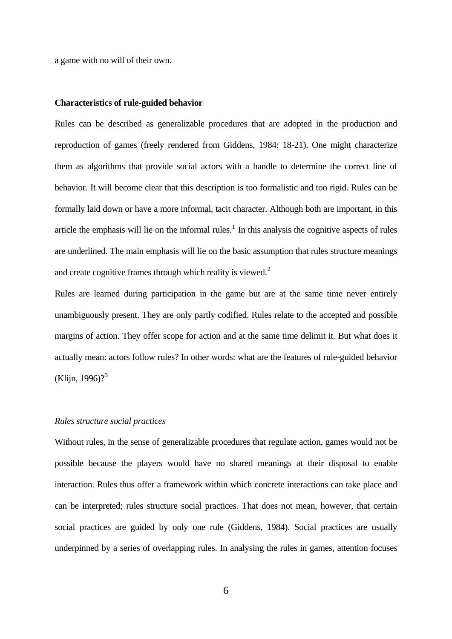a game with no will of their own.

## **Characteristics of rule-guided behavior**

Rules can be described as generalizable procedures that are adopted in the production and reproduction of games (freely rendered from Giddens, 1984: 18-21). One might characterize them as algorithms that provide social actors with a handle to determine the correct line of behavior. It will become clear that this description is too formalistic and too rigid. Rules can be formally laid down or have a more informal, tacit character. Although both are important, in this article the emphasis will lie on the informal rules.<sup>[1](#page-42-0)</sup> In this analysis the cognitive aspects of rules are underlined. The main emphasis will lie on the basic assumption that rules structure meanings and create cognitive frames through which reality is viewed. $2$ 

Rules are learned during participation in the game but are at the same time never entirely unambiguously present. They are only partly codified. Rules relate to the accepted and possible margins of action. They offer scope for action and at the same time delimit it. But what does it actually mean: actors follow rules? In other words: what are the features of rule-guided behavior (Klijn, 1996)?<sup>[3](#page-42-1)</sup>

## *Rules structure social practices*

Without rules, in the sense of generalizable procedures that regulate action, games would not be possible because the players would have no shared meanings at their disposal to enable interaction. Rules thus offer a framework within which concrete interactions can take place and can be interpreted; rules structure social practices. That does not mean, however, that certain social practices are guided by only one rule (Giddens, 1984). Social practices are usually underpinned by a series of overlapping rules. In analysing the rules in games, attention focuses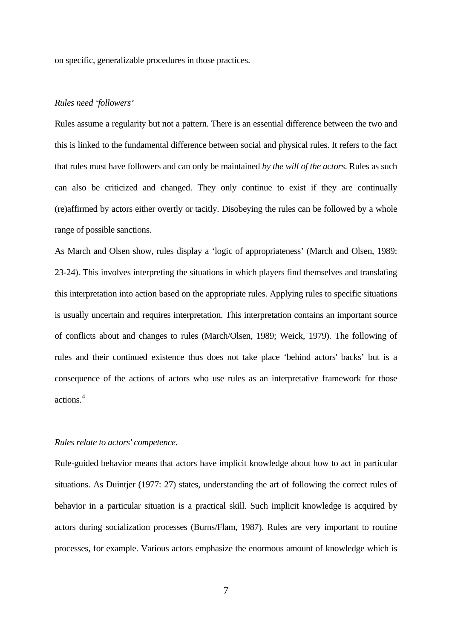on specific, generalizable procedures in those practices.

#### *Rules need 'followers'*

Rules assume a regularity but not a pattern. There is an essential difference between the two and this is linked to the fundamental difference between social and physical rules. It refers to the fact that rules must have followers and can only be maintained *by the will of the actors*. Rules as such can also be criticized and changed. They only continue to exist if they are continually (re)affirmed by actors either overtly or tacitly. Disobeying the rules can be followed by a whole range of possible sanctions.

As March and Olsen show, rules display a 'logic of appropriateness' (March and Olsen, 1989: 23-24). This involves interpreting the situations in which players find themselves and translating this interpretation into action based on the appropriate rules. Applying rules to specific situations is usually uncertain and requires interpretation. This interpretation contains an important source of conflicts about and changes to rules (March/Olsen, 1989; Weick, 1979). The following of rules and their continued existence thus does not take place 'behind actors' backs' but is a consequence of the actions of actors who use rules as an interpretative framework for those actions.<sup>[4](#page-42-1)</sup>

#### *Rules relate to actors' competence.*

Rule-guided behavior means that actors have implicit knowledge about how to act in particular situations. As Duintjer (1977: 27) states, understanding the art of following the correct rules of behavior in a particular situation is a practical skill. Such implicit knowledge is acquired by actors during socialization processes (Burns/Flam, 1987). Rules are very important to routine processes, for example. Various actors emphasize the enormous amount of knowledge which is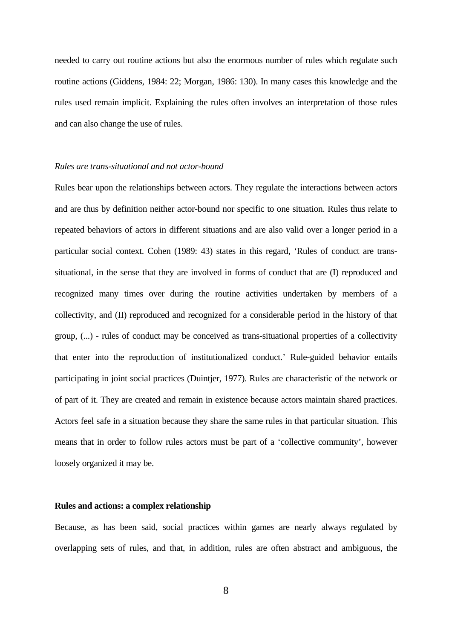needed to carry out routine actions but also the enormous number of rules which regulate such routine actions (Giddens, 1984: 22; Morgan, 1986: 130). In many cases this knowledge and the rules used remain implicit. Explaining the rules often involves an interpretation of those rules and can also change the use of rules.

## *Rules are trans-situational and not actor-bound*

Rules bear upon the relationships between actors. They regulate the interactions between actors and are thus by definition neither actor-bound nor specific to one situation. Rules thus relate to repeated behaviors of actors in different situations and are also valid over a longer period in a particular social context. Cohen (1989: 43) states in this regard, 'Rules of conduct are transsituational, in the sense that they are involved in forms of conduct that are (I) reproduced and recognized many times over during the routine activities undertaken by members of a collectivity, and (II) reproduced and recognized for a considerable period in the history of that group, (...) - rules of conduct may be conceived as trans-situational properties of a collectivity that enter into the reproduction of institutionalized conduct.' Rule-guided behavior entails participating in joint social practices (Duintjer, 1977). Rules are characteristic of the network or of part of it. They are created and remain in existence because actors maintain shared practices. Actors feel safe in a situation because they share the same rules in that particular situation. This means that in order to follow rules actors must be part of a 'collective community', however loosely organized it may be.

## **Rules and actions: a complex relationship**

Because, as has been said, social practices within games are nearly always regulated by overlapping sets of rules, and that, in addition, rules are often abstract and ambiguous, the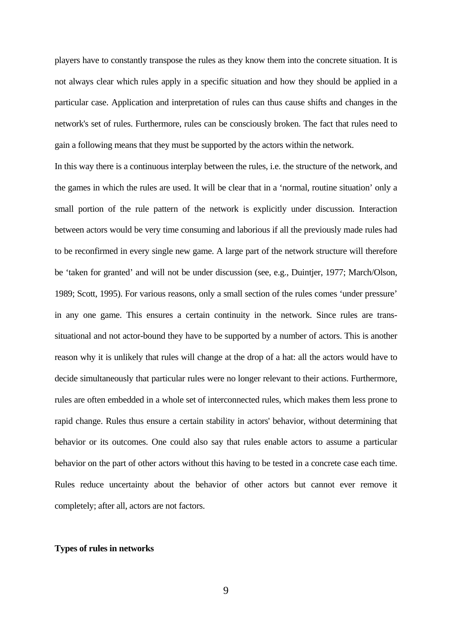players have to constantly transpose the rules as they know them into the concrete situation. It is not always clear which rules apply in a specific situation and how they should be applied in a particular case. Application and interpretation of rules can thus cause shifts and changes in the network's set of rules. Furthermore, rules can be consciously broken. The fact that rules need to gain a following means that they must be supported by the actors within the network.

In this way there is a continuous interplay between the rules, i.e. the structure of the network, and the games in which the rules are used. It will be clear that in a 'normal, routine situation' only a small portion of the rule pattern of the network is explicitly under discussion. Interaction between actors would be very time consuming and laborious if all the previously made rules had to be reconfirmed in every single new game. A large part of the network structure will therefore be 'taken for granted' and will not be under discussion (see, e.g., Duintjer, 1977; March/Olson, 1989; Scott, 1995). For various reasons, only a small section of the rules comes 'under pressure' in any one game. This ensures a certain continuity in the network. Since rules are transsituational and not actor-bound they have to be supported by a number of actors. This is another reason why it is unlikely that rules will change at the drop of a hat: all the actors would have to decide simultaneously that particular rules were no longer relevant to their actions. Furthermore, rules are often embedded in a whole set of interconnected rules, which makes them less prone to rapid change. Rules thus ensure a certain stability in actors' behavior, without determining that behavior or its outcomes. One could also say that rules enable actors to assume a particular behavior on the part of other actors without this having to be tested in a concrete case each time. Rules reduce uncertainty about the behavior of other actors but cannot ever remove it completely; after all, actors are not factors.

## **Types of rules in networks**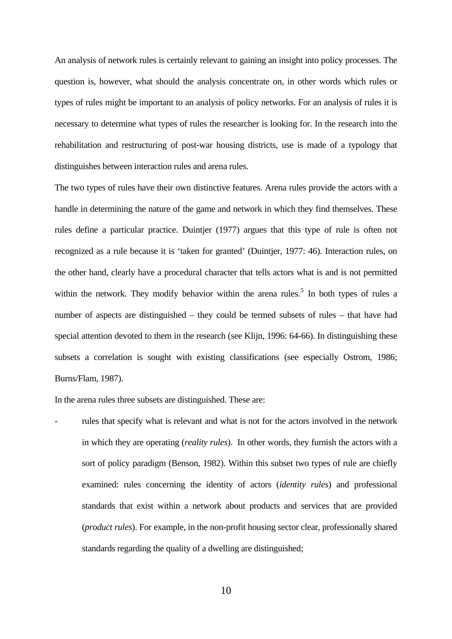An analysis of network rules is certainly relevant to gaining an insight into policy processes. The question is, however, what should the analysis concentrate on, in other words which rules or types of rules might be important to an analysis of policy networks. For an analysis of rules it is necessary to determine what types of rules the researcher is looking for. In the research into the rehabilitation and restructuring of post-war housing districts, use is made of a typology that distinguishes between interaction rules and arena rules.

The two types of rules have their own distinctive features. Arena rules provide the actors with a handle in determining the nature of the game and network in which they find themselves. These rules define a particular practice. Duintjer (1977) argues that this type of rule is often not recognized as a rule because it is 'taken for granted' (Duintjer, 1977: 46). Interaction rules, on the other hand, clearly have a procedural character that tells actors what is and is not permitted within the network. They modify behavior within the arena rules.<sup>[5](#page-42-1)</sup> In both types of rules a number of aspects are distinguished – they could be termed subsets of rules – that have had special attention devoted to them in the research (see Klijn, 1996: 64-66). In distinguishing these subsets a correlation is sought with existing classifications (see especially Ostrom, 1986; Burns/Flam, 1987).

In the arena rules three subsets are distinguished. These are:

rules that specify what is relevant and what is not for the actors involved in the network in which they are operating (*reality rules*). In other words, they furnish the actors with a sort of policy paradigm (Benson, 1982). Within this subset two types of rule are chiefly examined: rules concerning the identity of actors (*identity rules*) and professional standards that exist within a network about products and services that are provided (*product rules*). For example, in the non-profit housing sector clear, professionally shared standards regarding the quality of a dwelling are distinguished;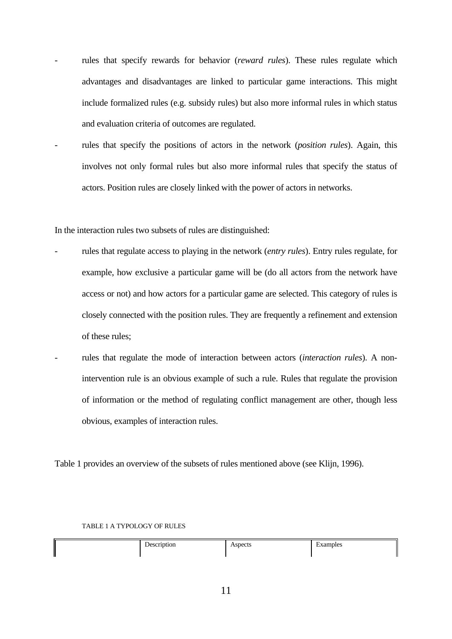- rules that specify rewards for behavior *(reward rules)*. These rules regulate which advantages and disadvantages are linked to particular game interactions. This might include formalized rules (e.g. subsidy rules) but also more informal rules in which status and evaluation criteria of outcomes are regulated.
- rules that specify the positions of actors in the network (*position rules*). Again, this involves not only formal rules but also more informal rules that specify the status of actors. Position rules are closely linked with the power of actors in networks.

In the interaction rules two subsets of rules are distinguished:

- rules that regulate access to playing in the network (*entry rules*). Entry rules regulate, for example, how exclusive a particular game will be (do all actors from the network have access or not) and how actors for a particular game are selected. This category of rules is closely connected with the position rules. They are frequently a refinement and extension of these rules;
- rules that regulate the mode of interaction between actors (*interaction rules*). A nonintervention rule is an obvious example of such a rule. Rules that regulate the provision of information or the method of regulating conflict management are other, though less obvious, examples of interaction rules.

Table 1 provides an overview of the subsets of rules mentioned above (see Klijn, 1996).

TABLE 1 A TYPOLOGY OF RULES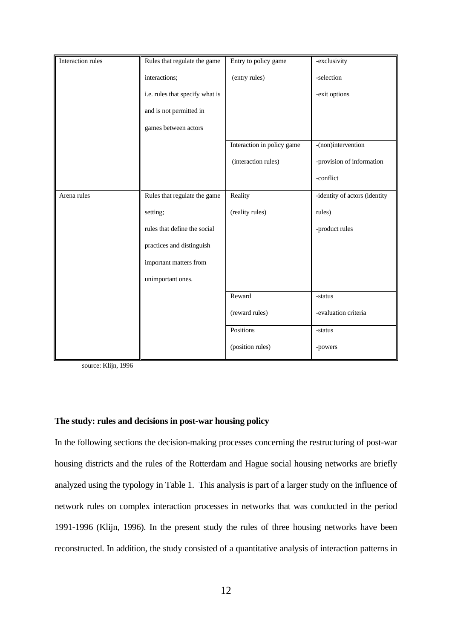| Interaction rules | Rules that regulate the game    | Entry to policy game       | -exclusivity                  |
|-------------------|---------------------------------|----------------------------|-------------------------------|
|                   | interactions;                   | (entry rules)              | -selection                    |
|                   | i.e. rules that specify what is |                            | -exit options                 |
|                   | and is not permitted in         |                            |                               |
|                   | games between actors            |                            |                               |
|                   |                                 | Interaction in policy game | -(non)intervention            |
|                   |                                 | (interaction rules)        | -provision of information     |
|                   |                                 |                            | -conflict                     |
| Arena rules       | Rules that regulate the game    | Reality                    | -identity of actors (identity |
|                   | setting;                        | (reality rules)            | rules)                        |
|                   | rules that define the social    |                            | -product rules                |
|                   | practices and distinguish       |                            |                               |
|                   | important matters from          |                            |                               |
|                   | unimportant ones.               |                            |                               |
|                   |                                 | Reward                     | -status                       |
|                   |                                 | (reward rules)             | -evaluation criteria          |
|                   |                                 | Positions                  | -status                       |
|                   |                                 | (position rules)           | -powers                       |

source: Klijn, 1996

# **The study: rules and decisions in post-war housing policy**

In the following sections the decision-making processes concerning the restructuring of post-war housing districts and the rules of the Rotterdam and Hague social housing networks are briefly analyzed using the typology in Table 1. This analysis is part of a larger study on the influence of network rules on complex interaction processes in networks that was conducted in the period 1991-1996 (Klijn, 1996). In the present study the rules of three housing networks have been reconstructed. In addition, the study consisted of a quantitative analysis of interaction patterns in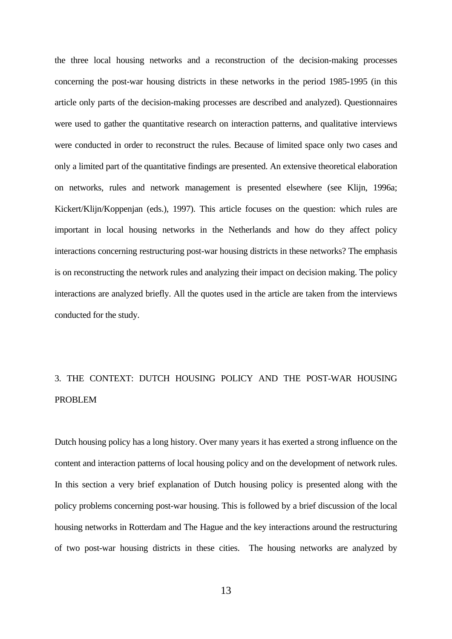the three local housing networks and a reconstruction of the decision-making processes concerning the post-war housing districts in these networks in the period 1985-1995 (in this article only parts of the decision-making processes are described and analyzed). Questionnaires were used to gather the quantitative research on interaction patterns, and qualitative interviews were conducted in order to reconstruct the rules. Because of limited space only two cases and only a limited part of the quantitative findings are presented. An extensive theoretical elaboration on networks, rules and network management is presented elsewhere (see Klijn, 1996a; Kickert/Klijn/Koppenjan (eds.), 1997). This article focuses on the question: which rules are important in local housing networks in the Netherlands and how do they affect policy interactions concerning restructuring post-war housing districts in these networks? The emphasis is on reconstructing the network rules and analyzing their impact on decision making. The policy interactions are analyzed briefly. All the quotes used in the article are taken from the interviews conducted for the study.

# 3. THE CONTEXT: DUTCH HOUSING POLICY AND THE POST-WAR HOUSING PROBLEM

Dutch housing policy has a long history. Over many years it has exerted a strong influence on the content and interaction patterns of local housing policy and on the development of network rules. In this section a very brief explanation of Dutch housing policy is presented along with the policy problems concerning post-war housing. This is followed by a brief discussion of the local housing networks in Rotterdam and The Hague and the key interactions around the restructuring of two post-war housing districts in these cities. The housing networks are analyzed by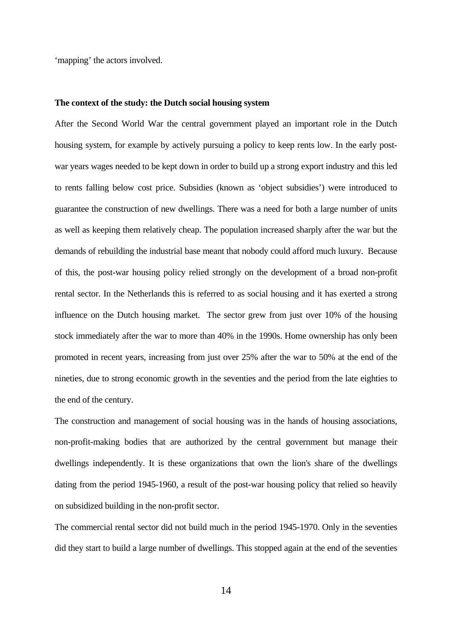'mapping' the actors involved.

#### **The context of the study: the Dutch social housing system**

After the Second World War the central government played an important role in the Dutch housing system, for example by actively pursuing a policy to keep rents low. In the early postwar years wages needed to be kept down in order to build up a strong export industry and this led to rents falling below cost price. Subsidies (known as 'object subsidies') were introduced to guarantee the construction of new dwellings. There was a need for both a large number of units as well as keeping them relatively cheap. The population increased sharply after the war but the demands of rebuilding the industrial base meant that nobody could afford much luxury. Because of this, the post-war housing policy relied strongly on the development of a broad non-profit rental sector. In the Netherlands this is referred to as social housing and it has exerted a strong influence on the Dutch housing market. The sector grew from just over 10% of the housing stock immediately after the war to more than 40% in the 1990s. Home ownership has only been promoted in recent years, increasing from just over 25% after the war to 50% at the end of the nineties, due to strong economic growth in the seventies and the period from the late eighties to the end of the century.

The construction and management of social housing was in the hands of housing associations, non-profit-making bodies that are authorized by the central government but manage their dwellings independently. It is these organizations that own the lion's share of the dwellings dating from the period 1945-1960, a result of the post-war housing policy that relied so heavily on subsidized building in the non-profit sector.

The commercial rental sector did not build much in the period 1945-1970. Only in the seventies did they start to build a large number of dwellings. This stopped again at the end of the seventies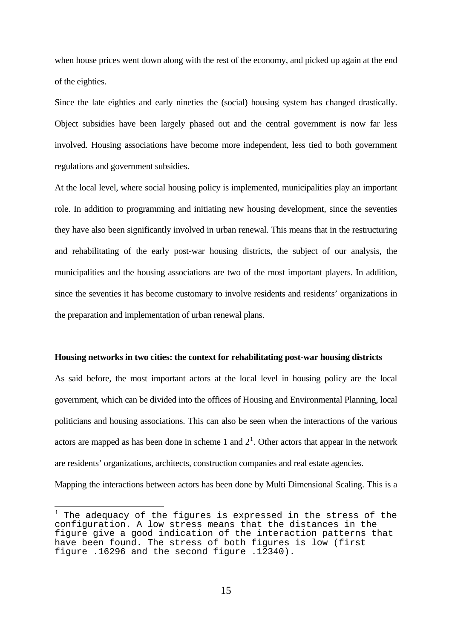when house prices went down along with the rest of the economy, and picked up again at the end of the eighties.

Since the late eighties and early nineties the (social) housing system has changed drastically. Object subsidies have been largely phased out and the central government is now far less involved. Housing associations have become more independent, less tied to both government regulations and government subsidies.

At the local level, where social housing policy is implemented, municipalities play an important role. In addition to programming and initiating new housing development, since the seventies they have also been significantly involved in urban renewal. This means that in the restructuring and rehabilitating of the early post-war housing districts, the subject of our analysis, the municipalities and the housing associations are two of the most important players. In addition, since the seventies it has become customary to involve residents and residents' organizations in the preparation and implementation of urban renewal plans.

## **Housing networks in two cities: the context for rehabilitating post-war housing districts**

As said before, the most important actors at the local level in housing policy are the local government, which can be divided into the offices of Housing and Environmental Planning, local politicians and housing associations. This can also be seen when the interactions of the various actors are mapped as has been done in scheme [1](#page-14-0) and  $2<sup>1</sup>$ . Other actors that appear in the network are residents' organizations, architects, construction companies and real estate agencies.

Mapping the interactions between actors has been done by Multi Dimensional Scaling. This is a

<span id="page-14-0"></span> 1 The adequacy of the figures is expressed in the stress of the configuration. A low stress means that the distances in the figure give a good indication of the interaction patterns that have been found. The stress of both figures is low (first figure .16296 and the second figure .12340).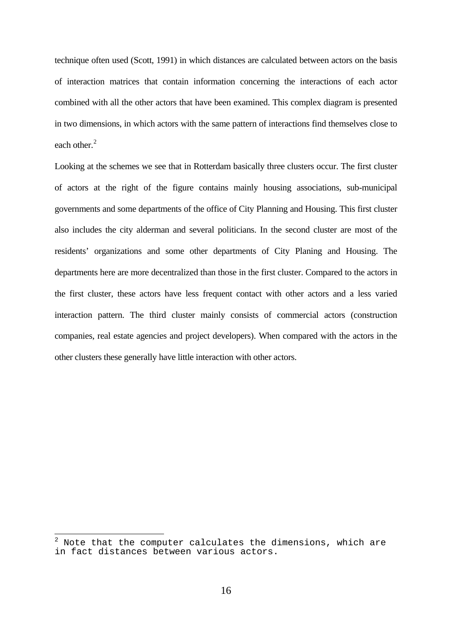technique often used (Scott, 1991) in which distances are calculated between actors on the basis of interaction matrices that contain information concerning the interactions of each actor combined with all the other actors that have been examined. This complex diagram is presented in two dimensions, in which actors with the same pattern of interactions find themselves close to each other. $2$ 

Looking at the schemes we see that in Rotterdam basically three clusters occur. The first cluster of actors at the right of the figure contains mainly housing associations, sub-municipal governments and some departments of the office of City Planning and Housing. This first cluster also includes the city alderman and several politicians. In the second cluster are most of the residents' organizations and some other departments of City Planing and Housing. The departments here are more decentralized than those in the first cluster. Compared to the actors in the first cluster, these actors have less frequent contact with other actors and a less varied interaction pattern. The third cluster mainly consists of commercial actors (construction companies, real estate agencies and project developers). When compared with the actors in the other clusters these generally have little interaction with other actors.

<span id="page-15-0"></span> 2 Note that the computer calculates the dimensions, which are in fact distances between various actors.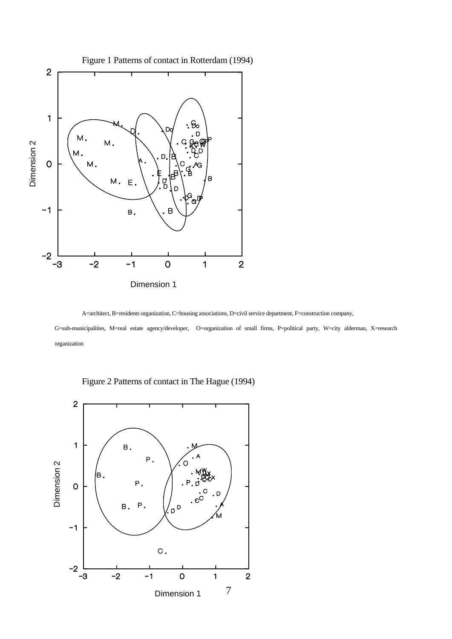



A=architect, B=residents organization, C=housing associations, D=civil service department, F=construction company,

G=sub-municipalities, M=real estate agency/developer, O=organization of small firms, P=political party, W=city alderman, X=research organization

Figure 2 Patterns of contact in The Hague (1994)

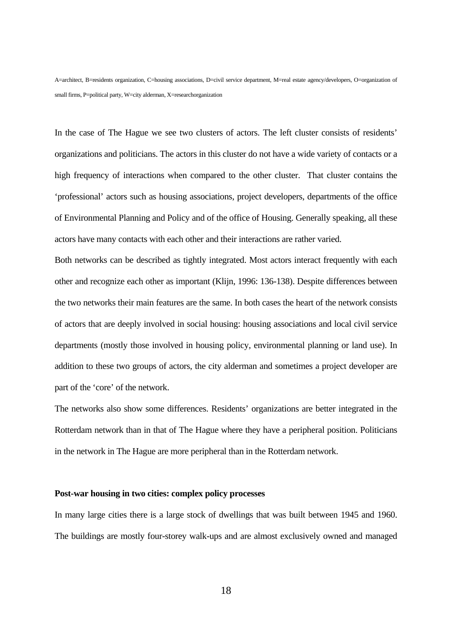A=architect, B=residents organization, C=housing associations, D=civil service department, M=real estate agency/developers, O=organization of small firms, P=political party, W=city alderman, X=researchorganization

In the case of The Hague we see two clusters of actors. The left cluster consists of residents' organizations and politicians. The actors in this cluster do not have a wide variety of contacts or a high frequency of interactions when compared to the other cluster. That cluster contains the 'professional' actors such as housing associations, project developers, departments of the office of Environmental Planning and Policy and of the office of Housing. Generally speaking, all these actors have many contacts with each other and their interactions are rather varied.

Both networks can be described as tightly integrated. Most actors interact frequently with each other and recognize each other as important (Klijn, 1996: 136-138). Despite differences between the two networks their main features are the same. In both cases the heart of the network consists of actors that are deeply involved in social housing: housing associations and local civil service departments (mostly those involved in housing policy, environmental planning or land use). In addition to these two groups of actors, the city alderman and sometimes a project developer are part of the 'core' of the network.

The networks also show some differences. Residents' organizations are better integrated in the Rotterdam network than in that of The Hague where they have a peripheral position. Politicians in the network in The Hague are more peripheral than in the Rotterdam network.

## **Post-war housing in two cities: complex policy processes**

In many large cities there is a large stock of dwellings that was built between 1945 and 1960. The buildings are mostly four-storey walk-ups and are almost exclusively owned and managed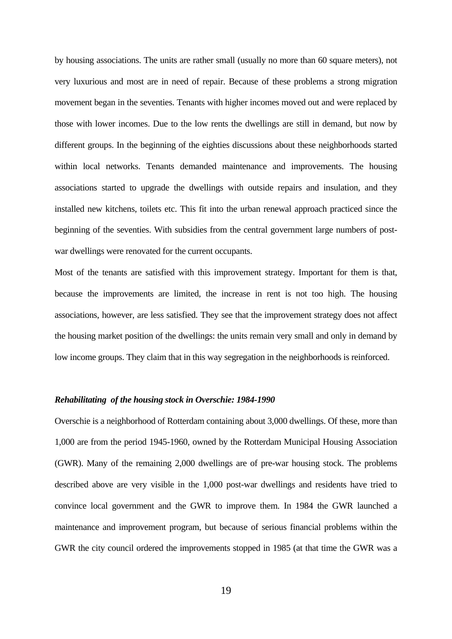by housing associations. The units are rather small (usually no more than 60 square meters), not very luxurious and most are in need of repair. Because of these problems a strong migration movement began in the seventies. Tenants with higher incomes moved out and were replaced by those with lower incomes. Due to the low rents the dwellings are still in demand, but now by different groups. In the beginning of the eighties discussions about these neighborhoods started within local networks. Tenants demanded maintenance and improvements. The housing associations started to upgrade the dwellings with outside repairs and insulation, and they installed new kitchens, toilets etc. This fit into the urban renewal approach practiced since the beginning of the seventies. With subsidies from the central government large numbers of postwar dwellings were renovated for the current occupants.

Most of the tenants are satisfied with this improvement strategy. Important for them is that, because the improvements are limited, the increase in rent is not too high. The housing associations, however, are less satisfied. They see that the improvement strategy does not affect the housing market position of the dwellings: the units remain very small and only in demand by low income groups. They claim that in this way segregation in the neighborhoods is reinforced.

#### *Rehabilitating of the housing stock in Overschie: 1984-1990*

Overschie is a neighborhood of Rotterdam containing about 3,000 dwellings. Of these, more than 1,000 are from the period 1945-1960, owned by the Rotterdam Municipal Housing Association (GWR). Many of the remaining 2,000 dwellings are of pre-war housing stock. The problems described above are very visible in the 1,000 post-war dwellings and residents have tried to convince local government and the GWR to improve them. In 1984 the GWR launched a maintenance and improvement program, but because of serious financial problems within the GWR the city council ordered the improvements stopped in 1985 (at that time the GWR was a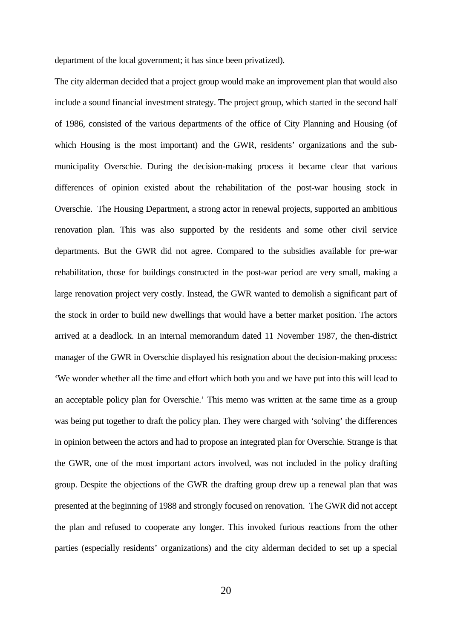department of the local government; it has since been privatized).

The city alderman decided that a project group would make an improvement plan that would also include a sound financial investment strategy. The project group, which started in the second half of 1986, consisted of the various departments of the office of City Planning and Housing (of which Housing is the most important) and the GWR, residents' organizations and the submunicipality Overschie. During the decision-making process it became clear that various differences of opinion existed about the rehabilitation of the post-war housing stock in Overschie. The Housing Department, a strong actor in renewal projects, supported an ambitious renovation plan. This was also supported by the residents and some other civil service departments. But the GWR did not agree. Compared to the subsidies available for pre-war rehabilitation, those for buildings constructed in the post-war period are very small, making a large renovation project very costly. Instead, the GWR wanted to demolish a significant part of the stock in order to build new dwellings that would have a better market position. The actors arrived at a deadlock. In an internal memorandum dated 11 November 1987, the then-district manager of the GWR in Overschie displayed his resignation about the decision-making process: 'We wonder whether all the time and effort which both you and we have put into this will lead to an acceptable policy plan for Overschie.' This memo was written at the same time as a group was being put together to draft the policy plan. They were charged with 'solving' the differences in opinion between the actors and had to propose an integrated plan for Overschie. Strange is that the GWR, one of the most important actors involved, was not included in the policy drafting group. Despite the objections of the GWR the drafting group drew up a renewal plan that was presented at the beginning of 1988 and strongly focused on renovation. The GWR did not accept the plan and refused to cooperate any longer. This invoked furious reactions from the other parties (especially residents' organizations) and the city alderman decided to set up a special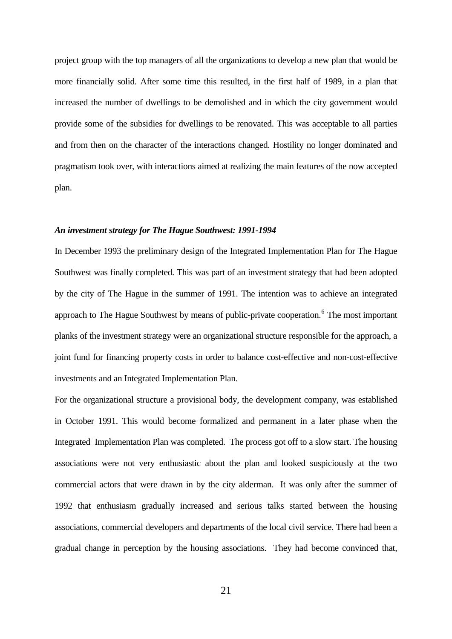project group with the top managers of all the organizations to develop a new plan that would be more financially solid. After some time this resulted, in the first half of 1989, in a plan that increased the number of dwellings to be demolished and in which the city government would provide some of the subsidies for dwellings to be renovated. This was acceptable to all parties and from then on the character of the interactions changed. Hostility no longer dominated and pragmatism took over, with interactions aimed at realizing the main features of the now accepted plan.

#### *An investment strategy for The Hague Southwest: 1991-1994*

In December 1993 the preliminary design of the Integrated Implementation Plan for The Hague Southwest was finally completed. This was part of an investment strategy that had been adopted by the city of The Hague in the summer of 1991. The intention was to achieve an integrated approach to The Hague Southwest by means of public-private cooperation.<sup>[6](#page-42-1)</sup> The most important planks of the investment strategy were an organizational structure responsible for the approach, a joint fund for financing property costs in order to balance cost-effective and non-cost-effective investments and an Integrated Implementation Plan.

For the organizational structure a provisional body, the development company, was established in October 1991. This would become formalized and permanent in a later phase when the Integrated Implementation Plan was completed. The process got off to a slow start. The housing associations were not very enthusiastic about the plan and looked suspiciously at the two commercial actors that were drawn in by the city alderman. It was only after the summer of 1992 that enthusiasm gradually increased and serious talks started between the housing associations, commercial developers and departments of the local civil service. There had been a gradual change in perception by the housing associations. They had become convinced that,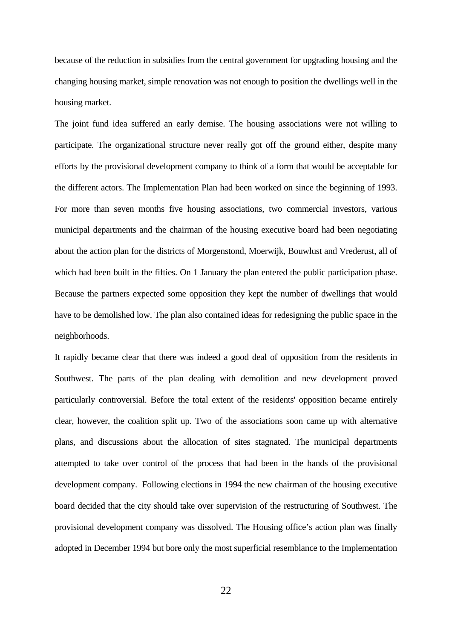because of the reduction in subsidies from the central government for upgrading housing and the changing housing market, simple renovation was not enough to position the dwellings well in the housing market.

The joint fund idea suffered an early demise. The housing associations were not willing to participate. The organizational structure never really got off the ground either, despite many efforts by the provisional development company to think of a form that would be acceptable for the different actors. The Implementation Plan had been worked on since the beginning of 1993. For more than seven months five housing associations, two commercial investors, various municipal departments and the chairman of the housing executive board had been negotiating about the action plan for the districts of Morgenstond, Moerwijk, Bouwlust and Vrederust, all of which had been built in the fifties. On 1 January the plan entered the public participation phase. Because the partners expected some opposition they kept the number of dwellings that would have to be demolished low. The plan also contained ideas for redesigning the public space in the neighborhoods.

It rapidly became clear that there was indeed a good deal of opposition from the residents in Southwest. The parts of the plan dealing with demolition and new development proved particularly controversial. Before the total extent of the residents' opposition became entirely clear, however, the coalition split up. Two of the associations soon came up with alternative plans, and discussions about the allocation of sites stagnated. The municipal departments attempted to take over control of the process that had been in the hands of the provisional development company. Following elections in 1994 the new chairman of the housing executive board decided that the city should take over supervision of the restructuring of Southwest. The provisional development company was dissolved. The Housing office's action plan was finally adopted in December 1994 but bore only the most superficial resemblance to the Implementation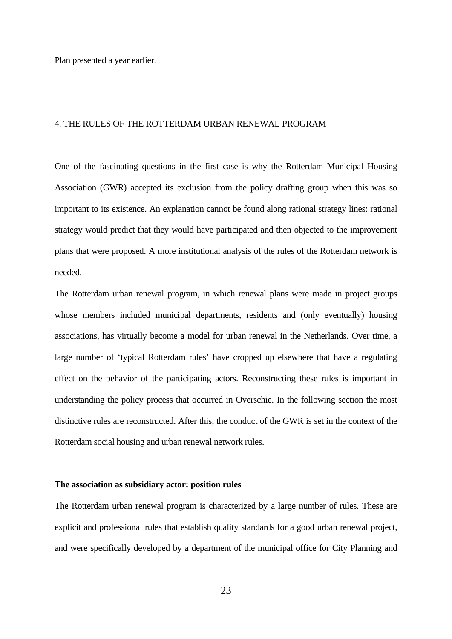Plan presented a year earlier.

## 4. THE RULES OF THE ROTTERDAM URBAN RENEWAL PROGRAM

One of the fascinating questions in the first case is why the Rotterdam Municipal Housing Association (GWR) accepted its exclusion from the policy drafting group when this was so important to its existence. An explanation cannot be found along rational strategy lines: rational strategy would predict that they would have participated and then objected to the improvement plans that were proposed. A more institutional analysis of the rules of the Rotterdam network is needed.

The Rotterdam urban renewal program, in which renewal plans were made in project groups whose members included municipal departments, residents and (only eventually) housing associations, has virtually become a model for urban renewal in the Netherlands. Over time, a large number of 'typical Rotterdam rules' have cropped up elsewhere that have a regulating effect on the behavior of the participating actors. Reconstructing these rules is important in understanding the policy process that occurred in Overschie. In the following section the most distinctive rules are reconstructed. After this, the conduct of the GWR is set in the context of the Rotterdam social housing and urban renewal network rules.

## **The association as subsidiary actor: position rules**

The Rotterdam urban renewal program is characterized by a large number of rules. These are explicit and professional rules that establish quality standards for a good urban renewal project, and were specifically developed by a department of the municipal office for City Planning and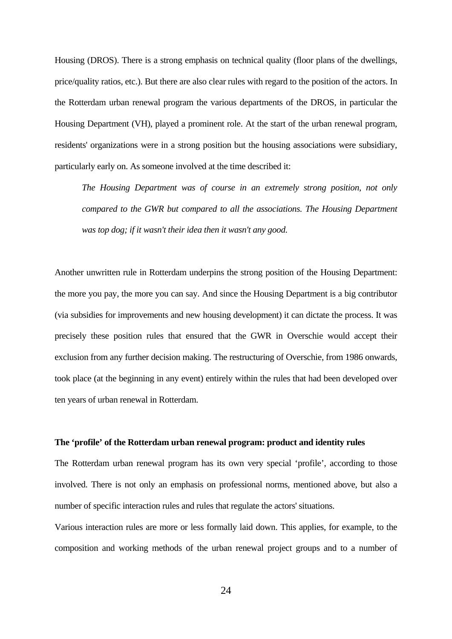Housing (DROS). There is a strong emphasis on technical quality (floor plans of the dwellings, price/quality ratios, etc.). But there are also clear rules with regard to the position of the actors. In the Rotterdam urban renewal program the various departments of the DROS, in particular the Housing Department (VH), played a prominent role. At the start of the urban renewal program, residents' organizations were in a strong position but the housing associations were subsidiary, particularly early on. As someone involved at the time described it:

 *The Housing Department was of course in an extremely strong position, not only compared to the GWR but compared to all the associations. The Housing Department was top dog; if it wasn't their idea then it wasn't any good.* 

Another unwritten rule in Rotterdam underpins the strong position of the Housing Department: the more you pay, the more you can say. And since the Housing Department is a big contributor (via subsidies for improvements and new housing development) it can dictate the process. It was precisely these position rules that ensured that the GWR in Overschie would accept their exclusion from any further decision making. The restructuring of Overschie, from 1986 onwards, took place (at the beginning in any event) entirely within the rules that had been developed over ten years of urban renewal in Rotterdam.

#### **The 'profile' of the Rotterdam urban renewal program: product and identity rules**

The Rotterdam urban renewal program has its own very special 'profile', according to those involved. There is not only an emphasis on professional norms, mentioned above, but also a number of specific interaction rules and rules that regulate the actors' situations.

Various interaction rules are more or less formally laid down. This applies, for example, to the composition and working methods of the urban renewal project groups and to a number of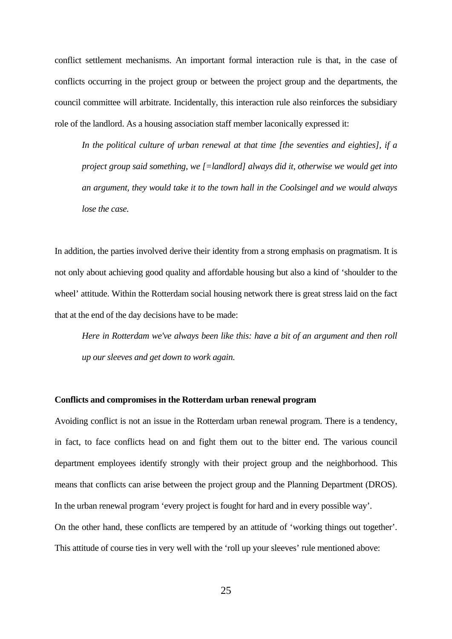conflict settlement mechanisms. An important formal interaction rule is that, in the case of conflicts occurring in the project group or between the project group and the departments, the council committee will arbitrate. Incidentally, this interaction rule also reinforces the subsidiary role of the landlord. As a housing association staff member laconically expressed it:

 *In the political culture of urban renewal at that time [the seventies and eighties], if a project group said something, we [=landlord] always did it, otherwise we would get into an argument, they would take it to the town hall in the Coolsingel and we would always lose the case.*

In addition, the parties involved derive their identity from a strong emphasis on pragmatism. It is not only about achieving good quality and affordable housing but also a kind of 'shoulder to the wheel' attitude. Within the Rotterdam social housing network there is great stress laid on the fact that at the end of the day decisions have to be made:

 *Here in Rotterdam we've always been like this: have a bit of an argument and then roll up our sleeves and get down to work again.* 

#### **Conflicts and compromises in the Rotterdam urban renewal program**

Avoiding conflict is not an issue in the Rotterdam urban renewal program. There is a tendency, in fact, to face conflicts head on and fight them out to the bitter end. The various council department employees identify strongly with their project group and the neighborhood. This means that conflicts can arise between the project group and the Planning Department (DROS). In the urban renewal program 'every project is fought for hard and in every possible way'. On the other hand, these conflicts are tempered by an attitude of 'working things out together'. This attitude of course ties in very well with the 'roll up your sleeves' rule mentioned above: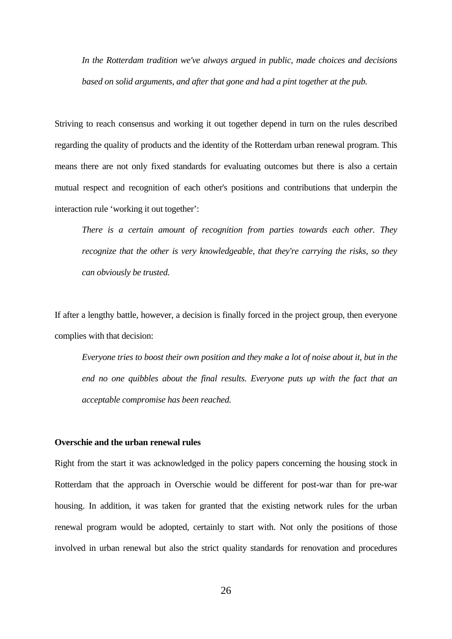*In the Rotterdam tradition we've always argued in public, made choices and decisions based on solid arguments, and after that gone and had a pint together at the pub.*

Striving to reach consensus and working it out together depend in turn on the rules described regarding the quality of products and the identity of the Rotterdam urban renewal program. This means there are not only fixed standards for evaluating outcomes but there is also a certain mutual respect and recognition of each other's positions and contributions that underpin the interaction rule 'working it out together':

*There is a certain amount of recognition from parties towards each other. They recognize that the other is very knowledgeable, that they're carrying the risks, so they can obviously be trusted.*

If after a lengthy battle, however, a decision is finally forced in the project group, then everyone complies with that decision:

*Everyone tries to boost their own position and they make a lot of noise about it, but in the end no one quibbles about the final results. Everyone puts up with the fact that an acceptable compromise has been reached.* 

## **Overschie and the urban renewal rules**

Right from the start it was acknowledged in the policy papers concerning the housing stock in Rotterdam that the approach in Overschie would be different for post-war than for pre-war housing. In addition, it was taken for granted that the existing network rules for the urban renewal program would be adopted, certainly to start with. Not only the positions of those involved in urban renewal but also the strict quality standards for renovation and procedures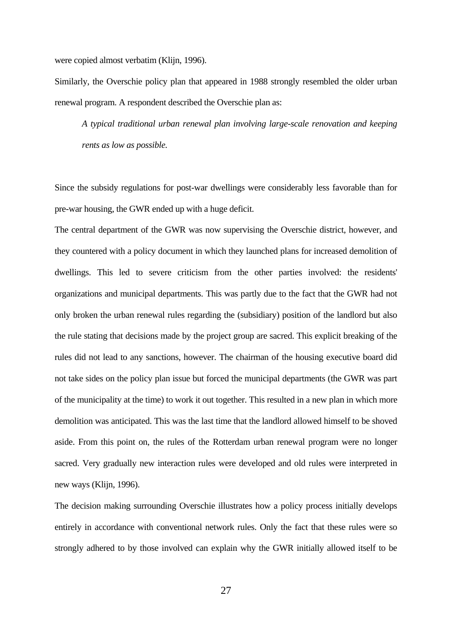were copied almost verbatim (Klijn, 1996).

Similarly, the Overschie policy plan that appeared in 1988 strongly resembled the older urban renewal program. A respondent described the Overschie plan as:

*A typical traditional urban renewal plan involving large-scale renovation and keeping rents as low as possible.* 

Since the subsidy regulations for post-war dwellings were considerably less favorable than for pre-war housing, the GWR ended up with a huge deficit.

The central department of the GWR was now supervising the Overschie district, however, and they countered with a policy document in which they launched plans for increased demolition of dwellings. This led to severe criticism from the other parties involved: the residents' organizations and municipal departments. This was partly due to the fact that the GWR had not only broken the urban renewal rules regarding the (subsidiary) position of the landlord but also the rule stating that decisions made by the project group are sacred. This explicit breaking of the rules did not lead to any sanctions, however. The chairman of the housing executive board did not take sides on the policy plan issue but forced the municipal departments (the GWR was part of the municipality at the time) to work it out together. This resulted in a new plan in which more demolition was anticipated. This was the last time that the landlord allowed himself to be shoved aside. From this point on, the rules of the Rotterdam urban renewal program were no longer sacred. Very gradually new interaction rules were developed and old rules were interpreted in new ways (Klijn, 1996).

The decision making surrounding Overschie illustrates how a policy process initially develops entirely in accordance with conventional network rules. Only the fact that these rules were so strongly adhered to by those involved can explain why the GWR initially allowed itself to be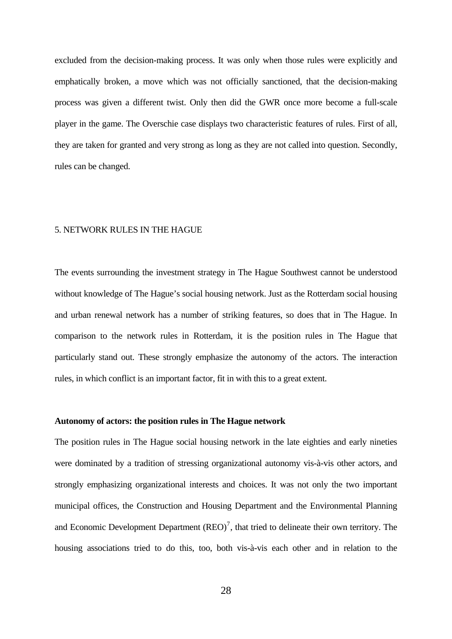excluded from the decision-making process. It was only when those rules were explicitly and emphatically broken, a move which was not officially sanctioned, that the decision-making process was given a different twist. Only then did the GWR once more become a full-scale player in the game. The Overschie case displays two characteristic features of rules. First of all, they are taken for granted and very strong as long as they are not called into question. Secondly, rules can be changed.

## 5. NETWORK RULES IN THE HAGUE

The events surrounding the investment strategy in The Hague Southwest cannot be understood without knowledge of The Hague's social housing network. Just as the Rotterdam social housing and urban renewal network has a number of striking features, so does that in The Hague. In comparison to the network rules in Rotterdam, it is the position rules in The Hague that particularly stand out. These strongly emphasize the autonomy of the actors. The interaction rules, in which conflict is an important factor, fit in with this to a great extent.

## **Autonomy of actors: the position rules in The Hague network**

The position rules in The Hague social housing network in the late eighties and early nineties were dominated by a tradition of stressing organizational autonomy vis-à-vis other actors, and strongly emphasizing organizational interests and choices. It was not only the two important municipal offices, the Construction and Housing Department and the Environmental Planning and Economic Development Department  $(REO)^7$  $(REO)^7$ , that tried to delineate their own territory. The housing associations tried to do this, too, both vis-à-vis each other and in relation to the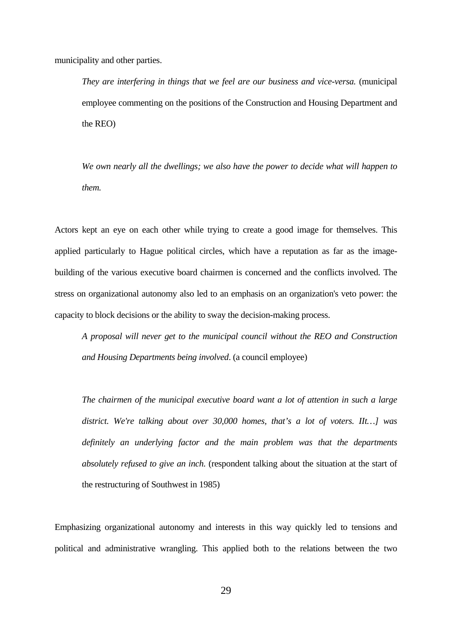municipality and other parties.

 *They are interfering in things that we feel are our business and vice-versa.* (municipal employee commenting on the positions of the Construction and Housing Department and the REO)

 *We own nearly all the dwellings; we also have the power to decide what will happen to them.*

Actors kept an eye on each other while trying to create a good image for themselves. This applied particularly to Hague political circles, which have a reputation as far as the imagebuilding of the various executive board chairmen is concerned and the conflicts involved. The stress on organizational autonomy also led to an emphasis on an organization's veto power: the capacity to block decisions or the ability to sway the decision-making process.

*A proposal will never get to the municipal council without the REO and Construction and Housing Departments being involved*. (a council employee)

*The chairmen of the municipal executive board want a lot of attention in such a large district. We're talking about over 30,000 homes, that's a lot of voters. IIt…] was definitely an underlying factor and the main problem was that the departments absolutely refused to give an inch.* (respondent talking about the situation at the start of the restructuring of Southwest in 1985)

Emphasizing organizational autonomy and interests in this way quickly led to tensions and political and administrative wrangling. This applied both to the relations between the two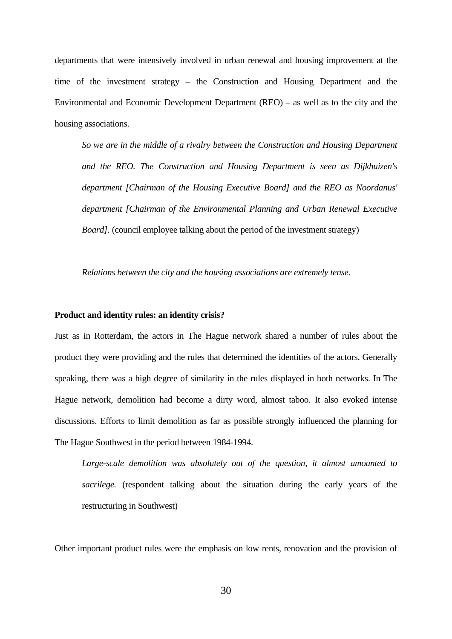departments that were intensively involved in urban renewal and housing improvement at the time of the investment strategy – the Construction and Housing Department and the Environmental and Economic Development Department (REO) – as well as to the city and the housing associations.

 *So we are in the middle of a rivalry between the Construction and Housing Department and the REO. The Construction and Housing Department is seen as Dijkhuizen's department [Chairman of the Housing Executive Board] and the REO as Noordanus' department [Chairman of the Environmental Planning and Urban Renewal Executive Board]*. (council employee talking about the period of the investment strategy)

 *Relations between the city and the housing associations are extremely tense.* 

#### **Product and identity rules: an identity crisis?**

Just as in Rotterdam, the actors in The Hague network shared a number of rules about the product they were providing and the rules that determined the identities of the actors. Generally speaking, there was a high degree of similarity in the rules displayed in both networks. In The Hague network, demolition had become a dirty word, almost taboo. It also evoked intense discussions. Efforts to limit demolition as far as possible strongly influenced the planning for The Hague Southwest in the period between 1984-1994.

 *Large-scale demolition was absolutely out of the question, it almost amounted to sacrilege.* (respondent talking about the situation during the early years of the restructuring in Southwest)

Other important product rules were the emphasis on low rents, renovation and the provision of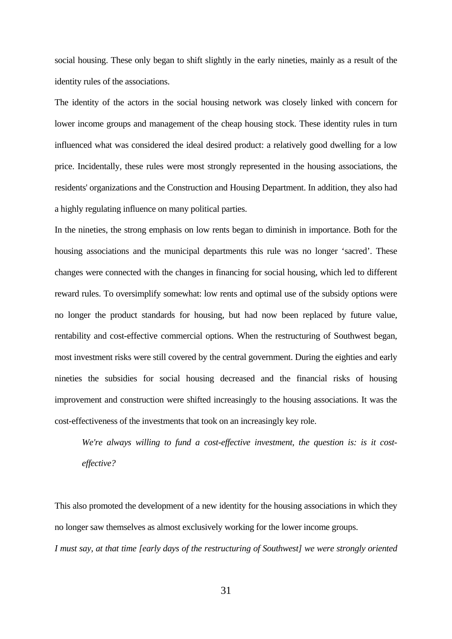social housing. These only began to shift slightly in the early nineties, mainly as a result of the identity rules of the associations.

The identity of the actors in the social housing network was closely linked with concern for lower income groups and management of the cheap housing stock. These identity rules in turn influenced what was considered the ideal desired product: a relatively good dwelling for a low price. Incidentally, these rules were most strongly represented in the housing associations, the residents' organizations and the Construction and Housing Department. In addition, they also had a highly regulating influence on many political parties.

In the nineties, the strong emphasis on low rents began to diminish in importance. Both for the housing associations and the municipal departments this rule was no longer 'sacred'. These changes were connected with the changes in financing for social housing, which led to different reward rules. To oversimplify somewhat: low rents and optimal use of the subsidy options were no longer the product standards for housing, but had now been replaced by future value, rentability and cost-effective commercial options. When the restructuring of Southwest began, most investment risks were still covered by the central government. During the eighties and early nineties the subsidies for social housing decreased and the financial risks of housing improvement and construction were shifted increasingly to the housing associations. It was the cost-effectiveness of the investments that took on an increasingly key role.

 *We're always willing to fund a cost-effective investment, the question is: is it costeffective?* 

This also promoted the development of a new identity for the housing associations in which they no longer saw themselves as almost exclusively working for the lower income groups. *I must say, at that time [early days of the restructuring of Southwest] we were strongly oriented* 

31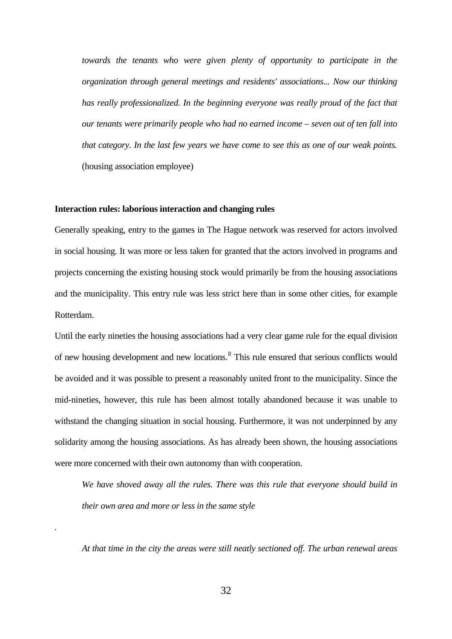*towards the tenants who were given plenty of opportunity to participate in the organization through general meetings and residents' associations... Now our thinking has really professionalized. In the beginning everyone was really proud of the fact that our tenants were primarily people who had no earned income – seven out of ten fall into that category. In the last few years we have come to see this as one of our weak points.* (housing association employee)

#### **Interaction rules: laborious interaction and changing rules**

*.* 

Generally speaking, entry to the games in The Hague network was reserved for actors involved in social housing. It was more or less taken for granted that the actors involved in programs and projects concerning the existing housing stock would primarily be from the housing associations and the municipality. This entry rule was less strict here than in some other cities, for example Rotterdam.

Until the early nineties the housing associations had a very clear game rule for the equal division of new housing development and new locations.<sup>[8](#page-42-1)</sup> This rule ensured that serious conflicts would be avoided and it was possible to present a reasonably united front to the municipality. Since the mid-nineties, however, this rule has been almost totally abandoned because it was unable to withstand the changing situation in social housing. Furthermore, it was not underpinned by any solidarity among the housing associations. As has already been shown, the housing associations were more concerned with their own autonomy than with cooperation.

 *We have shoved away all the rules. There was this rule that everyone should build in their own area and more or less in the same style* 

 *At that time in the city the areas were still neatly sectioned off. The urban renewal areas*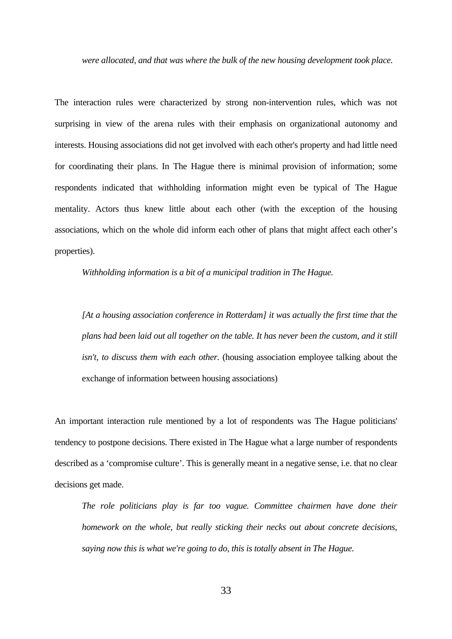*were allocated, and that was where the bulk of the new housing development took place.*

The interaction rules were characterized by strong non-intervention rules, which was not surprising in view of the arena rules with their emphasis on organizational autonomy and interests. Housing associations did not get involved with each other's property and had little need for coordinating their plans. In The Hague there is minimal provision of information; some respondents indicated that withholding information might even be typical of The Hague mentality. Actors thus knew little about each other (with the exception of the housing associations, which on the whole did inform each other of plans that might affect each other's properties).

 *Withholding information is a bit of a municipal tradition in The Hague.* 

 *[At a housing association conference in Rotterdam] it was actually the first time that the plans had been laid out all together on the table. It has never been the custom, and it still isn't, to discuss them with each other.* (housing association employee talking about the exchange of information between housing associations)

An important interaction rule mentioned by a lot of respondents was The Hague politicians' tendency to postpone decisions. There existed in The Hague what a large number of respondents described as a 'compromise culture'. This is generally meant in a negative sense, i.e. that no clear decisions get made.

 *The role politicians play is far too vague. Committee chairmen have done their homework on the whole, but really sticking their necks out about concrete decisions, saying now this is what we're going to do, this is totally absent in The Hague.*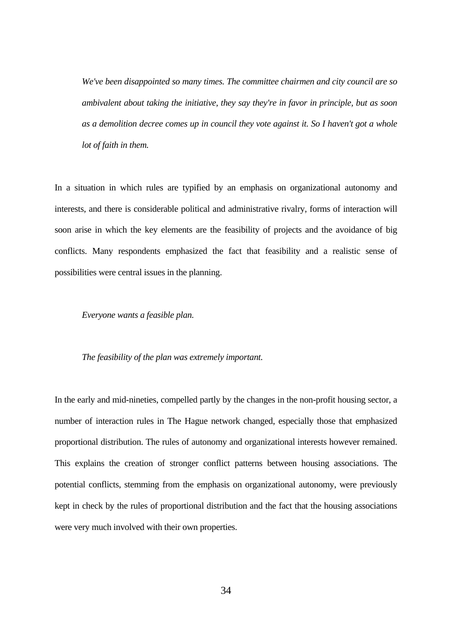*We've been disappointed so many times. The committee chairmen and city council are so ambivalent about taking the initiative, they say they're in favor in principle, but as soon as a demolition decree comes up in council they vote against it. So I haven't got a whole lot of faith in them.*

In a situation in which rules are typified by an emphasis on organizational autonomy and interests, and there is considerable political and administrative rivalry, forms of interaction will soon arise in which the key elements are the feasibility of projects and the avoidance of big conflicts. Many respondents emphasized the fact that feasibility and a realistic sense of possibilities were central issues in the planning.

# *Everyone wants a feasible plan.*

## *The feasibility of the plan was extremely important.*

In the early and mid-nineties, compelled partly by the changes in the non-profit housing sector, a number of interaction rules in The Hague network changed, especially those that emphasized proportional distribution. The rules of autonomy and organizational interests however remained. This explains the creation of stronger conflict patterns between housing associations. The potential conflicts, stemming from the emphasis on organizational autonomy, were previously kept in check by the rules of proportional distribution and the fact that the housing associations were very much involved with their own properties.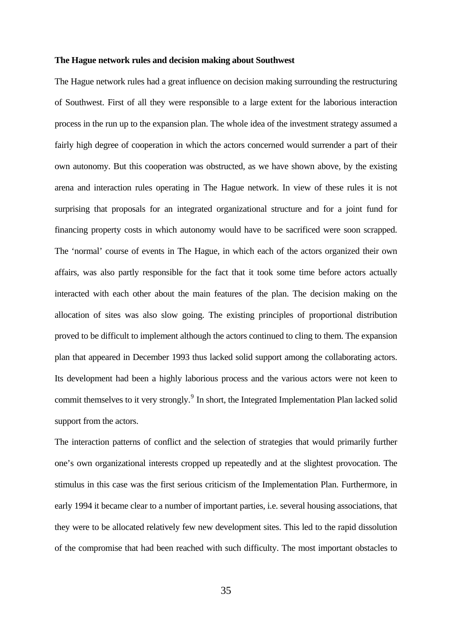## **The Hague network rules and decision making about Southwest**

The Hague network rules had a great influence on decision making surrounding the restructuring of Southwest. First of all they were responsible to a large extent for the laborious interaction process in the run up to the expansion plan. The whole idea of the investment strategy assumed a fairly high degree of cooperation in which the actors concerned would surrender a part of their own autonomy. But this cooperation was obstructed, as we have shown above, by the existing arena and interaction rules operating in The Hague network. In view of these rules it is not surprising that proposals for an integrated organizational structure and for a joint fund for financing property costs in which autonomy would have to be sacrificed were soon scrapped. The 'normal' course of events in The Hague, in which each of the actors organized their own affairs, was also partly responsible for the fact that it took some time before actors actually interacted with each other about the main features of the plan. The decision making on the allocation of sites was also slow going. The existing principles of proportional distribution proved to be difficult to implement although the actors continued to cling to them. The expansion plan that appeared in December 1993 thus lacked solid support among the collaborating actors. Its development had been a highly laborious process and the various actors were not keen to commit themselves to it very strongly.<sup>[9](#page-42-1)</sup> In short, the Integrated Implementation Plan lacked solid support from the actors.

The interaction patterns of conflict and the selection of strategies that would primarily further one's own organizational interests cropped up repeatedly and at the slightest provocation. The stimulus in this case was the first serious criticism of the Implementation Plan. Furthermore, in early 1994 it became clear to a number of important parties, i.e. several housing associations, that they were to be allocated relatively few new development sites. This led to the rapid dissolution of the compromise that had been reached with such difficulty. The most important obstacles to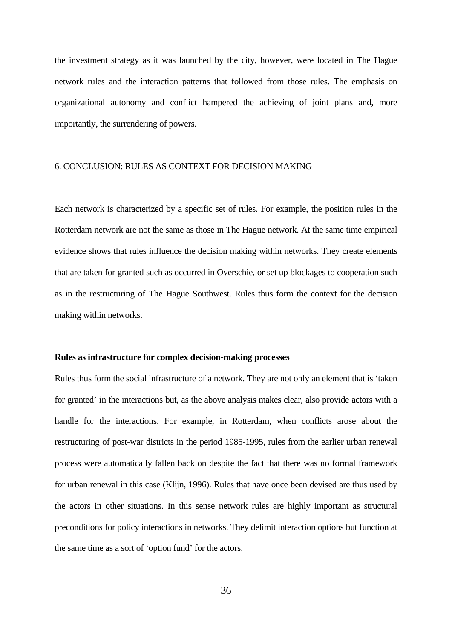the investment strategy as it was launched by the city, however, were located in The Hague network rules and the interaction patterns that followed from those rules. The emphasis on organizational autonomy and conflict hampered the achieving of joint plans and, more importantly, the surrendering of powers.

## 6. CONCLUSION: RULES AS CONTEXT FOR DECISION MAKING

Each network is characterized by a specific set of rules. For example, the position rules in the Rotterdam network are not the same as those in The Hague network. At the same time empirical evidence shows that rules influence the decision making within networks. They create elements that are taken for granted such as occurred in Overschie, or set up blockages to cooperation such as in the restructuring of The Hague Southwest. Rules thus form the context for the decision making within networks.

#### **Rules as infrastructure for complex decision-making processes**

Rules thus form the social infrastructure of a network. They are not only an element that is 'taken for granted' in the interactions but, as the above analysis makes clear, also provide actors with a handle for the interactions. For example, in Rotterdam, when conflicts arose about the restructuring of post-war districts in the period 1985-1995, rules from the earlier urban renewal process were automatically fallen back on despite the fact that there was no formal framework for urban renewal in this case (Klijn, 1996). Rules that have once been devised are thus used by the actors in other situations. In this sense network rules are highly important as structural preconditions for policy interactions in networks. They delimit interaction options but function at the same time as a sort of 'option fund' for the actors.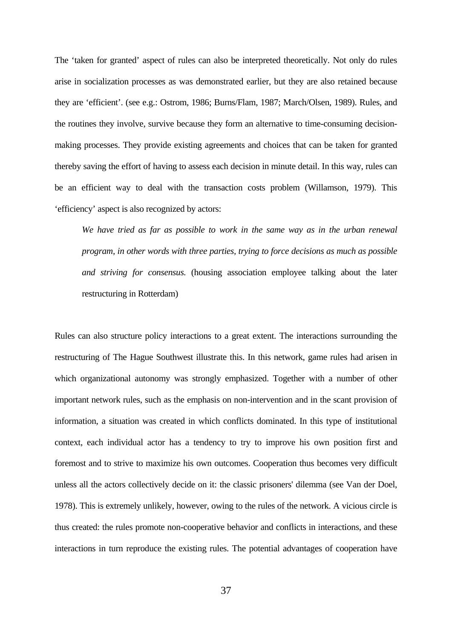The 'taken for granted' aspect of rules can also be interpreted theoretically. Not only do rules arise in socialization processes as was demonstrated earlier, but they are also retained because they are 'efficient'. (see e.g.: Ostrom, 1986; Burns/Flam, 1987; March/Olsen, 1989). Rules, and the routines they involve, survive because they form an alternative to time-consuming decisionmaking processes. They provide existing agreements and choices that can be taken for granted thereby saving the effort of having to assess each decision in minute detail. In this way, rules can be an efficient way to deal with the transaction costs problem (Willamson, 1979). This 'efficiency' aspect is also recognized by actors:

*We have tried as far as possible to work in the same way as in the urban renewal program, in other words with three parties, trying to force decisions as much as possible and striving for consensus.* (housing association employee talking about the later restructuring in Rotterdam)

Rules can also structure policy interactions to a great extent. The interactions surrounding the restructuring of The Hague Southwest illustrate this. In this network, game rules had arisen in which organizational autonomy was strongly emphasized. Together with a number of other important network rules, such as the emphasis on non-intervention and in the scant provision of information, a situation was created in which conflicts dominated. In this type of institutional context, each individual actor has a tendency to try to improve his own position first and foremost and to strive to maximize his own outcomes. Cooperation thus becomes very difficult unless all the actors collectively decide on it: the classic prisoners' dilemma (see Van der Doel, 1978). This is extremely unlikely, however, owing to the rules of the network. A vicious circle is thus created: the rules promote non-cooperative behavior and conflicts in interactions, and these interactions in turn reproduce the existing rules. The potential advantages of cooperation have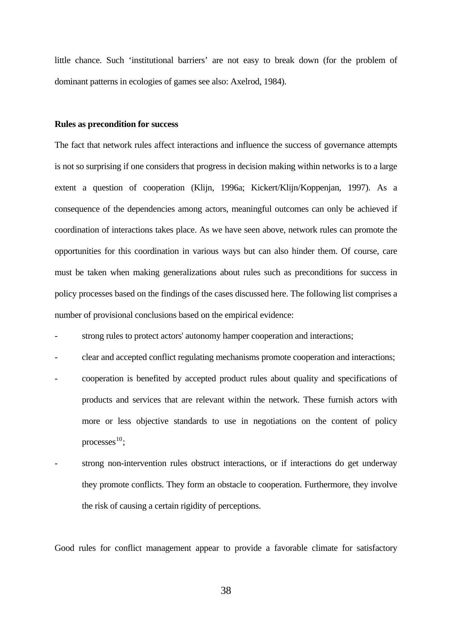little chance. Such 'institutional barriers' are not easy to break down (for the problem of dominant patterns in ecologies of games see also: Axelrod, 1984).

#### **Rules as precondition for success**

The fact that network rules affect interactions and influence the success of governance attempts is not so surprising if one considers that progress in decision making within networks is to a large extent a question of cooperation (Klijn, 1996a; Kickert/Klijn/Koppenjan, 1997). As a consequence of the dependencies among actors, meaningful outcomes can only be achieved if coordination of interactions takes place. As we have seen above, network rules can promote the opportunities for this coordination in various ways but can also hinder them. Of course, care must be taken when making generalizations about rules such as preconditions for success in policy processes based on the findings of the cases discussed here. The following list comprises a number of provisional conclusions based on the empirical evidence:

- strong rules to protect actors' autonomy hamper cooperation and interactions;
- clear and accepted conflict regulating mechanisms promote cooperation and interactions;
- cooperation is benefited by accepted product rules about quality and specifications of products and services that are relevant within the network. These furnish actors with more or less objective standards to use in negotiations on the content of policy processes $^{10}$  $^{10}$  $^{10}$ :
- strong non-intervention rules obstruct interactions, or if interactions do get underway they promote conflicts. They form an obstacle to cooperation. Furthermore, they involve the risk of causing a certain rigidity of perceptions.

Good rules for conflict management appear to provide a favorable climate for satisfactory

38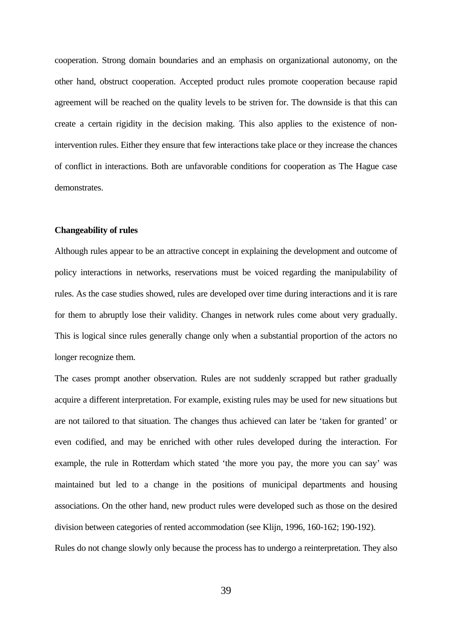cooperation. Strong domain boundaries and an emphasis on organizational autonomy, on the other hand, obstruct cooperation. Accepted product rules promote cooperation because rapid agreement will be reached on the quality levels to be striven for. The downside is that this can create a certain rigidity in the decision making. This also applies to the existence of nonintervention rules. Either they ensure that few interactions take place or they increase the chances of conflict in interactions. Both are unfavorable conditions for cooperation as The Hague case demonstrates.

## **Changeability of rules**

Although rules appear to be an attractive concept in explaining the development and outcome of policy interactions in networks, reservations must be voiced regarding the manipulability of rules. As the case studies showed, rules are developed over time during interactions and it is rare for them to abruptly lose their validity. Changes in network rules come about very gradually. This is logical since rules generally change only when a substantial proportion of the actors no longer recognize them.

The cases prompt another observation. Rules are not suddenly scrapped but rather gradually acquire a different interpretation. For example, existing rules may be used for new situations but are not tailored to that situation. The changes thus achieved can later be 'taken for granted' or even codified, and may be enriched with other rules developed during the interaction. For example, the rule in Rotterdam which stated 'the more you pay, the more you can say' was maintained but led to a change in the positions of municipal departments and housing associations. On the other hand, new product rules were developed such as those on the desired division between categories of rented accommodation (see Klijn, 1996, 160-162; 190-192).

Rules do not change slowly only because the process has to undergo a reinterpretation. They also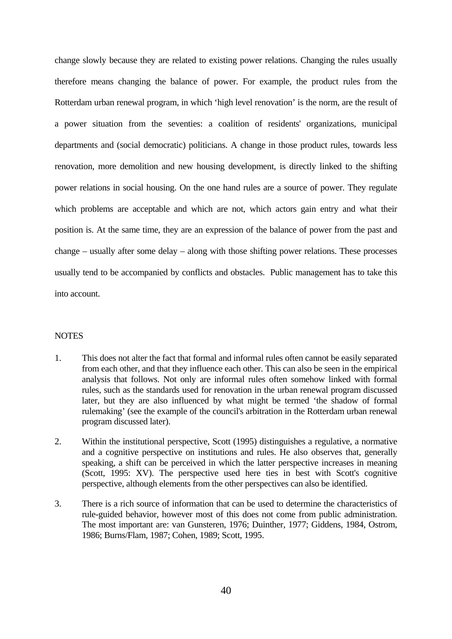change slowly because they are related to existing power relations. Changing the rules usually therefore means changing the balance of power. For example, the product rules from the Rotterdam urban renewal program, in which 'high level renovation' is the norm, are the result of a power situation from the seventies: a coalition of residents' organizations, municipal departments and (social democratic) politicians. A change in those product rules, towards less renovation, more demolition and new housing development, is directly linked to the shifting power relations in social housing. On the one hand rules are a source of power. They regulate which problems are acceptable and which are not, which actors gain entry and what their position is. At the same time, they are an expression of the balance of power from the past and change – usually after some delay – along with those shifting power relations. These processes usually tend to be accompanied by conflicts and obstacles. Public management has to take this into account.

# **NOTES**

- 1. This does not alter the fact that formal and informal rules often cannot be easily separated from each other, and that they influence each other. This can also be seen in the empirical analysis that follows. Not only are informal rules often somehow linked with formal rules, such as the standards used for renovation in the urban renewal program discussed later, but they are also influenced by what might be termed 'the shadow of formal rulemaking' (see the example of the council's arbitration in the Rotterdam urban renewal program discussed later).
- 2. Within the institutional perspective, Scott (1995) distinguishes a regulative, a normative and a cognitive perspective on institutions and rules. He also observes that, generally speaking, a shift can be perceived in which the latter perspective increases in meaning (Scott, 1995: XV). The perspective used here ties in best with Scott's cognitive perspective, although elements from the other perspectives can also be identified.
- 3. There is a rich source of information that can be used to determine the characteristics of rule-guided behavior, however most of this does not come from public administration. The most important are: van Gunsteren, 1976; Duinther, 1977; Giddens, 1984, Ostrom, 1986; Burns/Flam, 1987; Cohen, 1989; Scott, 1995.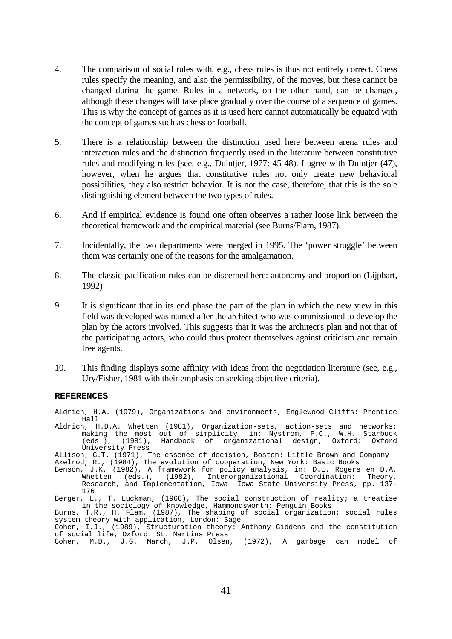- 4. The comparison of social rules with, e.g., chess rules is thus not entirely correct. Chess rules specify the meaning, and also the permissibility, of the moves, but these cannot be changed during the game. Rules in a network, on the other hand, can be changed, although these changes will take place gradually over the course of a sequence of games. This is why the concept of games as it is used here cannot automatically be equated with the concept of games such as chess or football.
- 5. There is a relationship between the distinction used here between arena rules and interaction rules and the distinction frequently used in the literature between constitutive rules and modifying rules (see, e.g., Duintjer, 1977: 45-48). I agree with Duintjer (47), however, when he argues that constitutive rules not only create new behavioral possibilities, they also restrict behavior. It is not the case, therefore, that this is the sole distinguishing element between the two types of rules.
- 6. And if empirical evidence is found one often observes a rather loose link between the theoretical framework and the empirical material (see Burns/Flam, 1987).
- 7. Incidentally, the two departments were merged in 1995. The 'power struggle' between them was certainly one of the reasons for the amalgamation.
- 8. The classic pacification rules can be discerned here: autonomy and proportion (Lijphart, 1992)
- 9. It is significant that in its end phase the part of the plan in which the new view in this field was developed was named after the architect who was commissioned to develop the plan by the actors involved. This suggests that it was the architect's plan and not that of the participating actors, who could thus protect themselves against criticism and remain free agents.
- 10. This finding displays some affinity with ideas from the negotiation literature (see, e.g., Ury/Fisher, 1981 with their emphasis on seeking objective criteria).

#### **REFERENCES**

Aldrich, H.A. (1979), Organizations and environments, Englewood Cliffs: Prentice Hall

Aldrich, H.D.A. Whetten (1981), Organization-sets, action-sets and networks: making the most out of simplicity, in: Nystrom, P.C., W.H. Starbuck (eds.), (1981), Handbook of organizational design, Oxford: Oxford University Press

Allison, G.T. (1971), The essence of decision, Boston: Little Brown and Company Axelrod, R., (1984), The evolution of cooperation, New York: Basic Books

Benson, J.K. (1982), A framework for policy analysis, in: D.L. Rogers en D.A. Whetten (eds.), (1982), Interorganizational Coordination: Theory, Research, and Implementation, Iowa: Iowa State University Press, pp. 137- 176

Berger, L., T. Luckman, (1966), The social construction of reality; a treatise in the sociology of knowledge, Hammondsworth: Penguin Books

Burns, T.R., H. Flam, (1987), The shaping of social organization: social rules system theory with application, London: Sage

Cohen, I.J., (1989), Structuration theory: Anthony Giddens and the constitution of social life, Oxford: St. Martins Press

Cohen, M.D., J.G. March, J.P. Olsen, (1972), A garbage can model of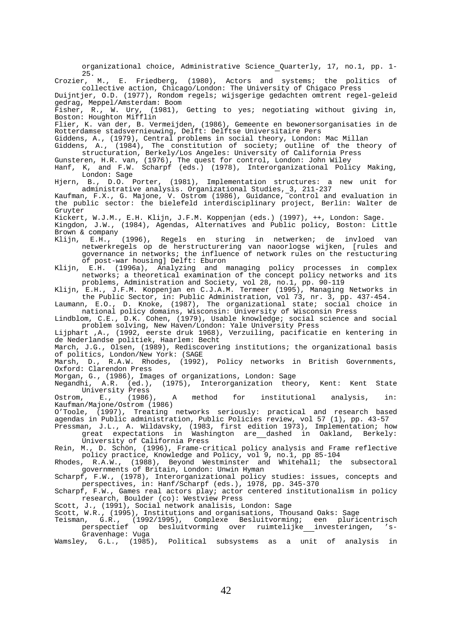organizational choice, Administrative Science Quarterly, 17, no.1, pp. 1-  $25.$  Crozier,  $M_{\odot}$ Crozier, M., E. Friedberg, (1980), Actors and systems; the politics of collective action, Chicago/London: The University of Chigaco Press Duijntjer, O.D. (1977), Rondom regels; wijsgerige gedachten omtrent regel-geleid gedrag, Meppel/Amsterdam: Boom Fisher, R., W. Ury, (1981), Getting to yes; negotiating without giving in, Boston: Houghton Mifflin Flier, K. van der, B. Vermeijden, (1986), Gemeente en bewonersorganisaties in de Rotterdamse stadsvernieuwing, Delft: Delftse Universitaire Pers Giddens, A., (1979), Central problems in social theory, London: Mac Millan Giddens, A., (1984), The constitution of society; outline of the theory of structuration, Berkely/Los Angeles: University of California Press Gunsteren, H.R. van, (1976), The quest for control, London: John Wiley Hanf, K, and F.W. Scharpf (eds.) (1978), Interorganizational Policy Making, London: Sage Hjern, B., D.O. Porter, (1981), Implementation structures: a new unit for administrative analysis. Organizational Studies, 3, 211-237 Kaufman, F.X., G. Majone, V. Ostrom (1986), Guidance, control and evaluation in the public sector: the bielefeld interdisciplinary project, Berlin: Walter de Gruyter Kickert, W.J.M., E.H. Klijn, J.F.M. Koppenjan (eds.) (1997), ++, London: Sage. Kingdon, J.W., (1984), Agendas, Alternatives and Public policy, Boston: Little Brown & company Klijn, E.H., (1996), Regels en sturing in netwerken; de invloed van netwerkregels op de herstructurering van naoorlogse wijken, [rules and governance in networks; the influence of network rules on the restucturing of post-war housing] Delft: Eburon Klijn, E.H. (1996a), Analyzing and managing policy processes in complex networks; a theoretical examination of the concept policy networks and its problems, Administration and Society, vol 28, no.1, pp. 90-119 Klijn, E.H., J.F.M. Koppenjan en C.J.A.M. Termeer (1995), Managing Networks in the Public Sector, in: Public Administration, vol 73, nr. 3, pp. 437-454. Laumann, E.O., D. Knoke, (1987), The organizational state; social choice in national policy domains, Wisconsin: University of Wisconsin Press Lindblom, C.E., D.K. Cohen, (1979), Usable knowledge; social science and social problem solving, New Haven/London: Yale University Press Lijphart ,A., (1992, eerste druk 1968), Verzuiling, pacificatie en kentering in de Nederlandse politiek, Haarlem: Becht March, J.G., Olsen, (1989), Rediscovering institutions; the organizational basis of politics, London/New York: (SAGE Marsh, D., R.A.W. Rhodes, (1992), Policy networks in British Governments, Oxford: Clarendon Press Morgan, G., (1986), Images of organizations, London: Sage Negandhi, A.R. (ed.), (1975), Interorganization theory, Kent: Kent State University Press<br>u, E., (1986), Ostrom, E., (1986), A method for institutional analysis, in: Kaufman/Majone/Ostrom (1986) O'Toole, (1997), Treating networks seriously: practical and research based agendas in Public administration, Public Policies review, vol 57 (1), pp. 43-57 Pressman, J.L., A. Wildavsky, (1983, first edition 1973), Implementation; how great expectations in Washington are dashed in Oakland, Berkely: University of California Press Rein, M., D. Schön, (1996), Frame-critical policy analysis and Frame reflective policy practice, Knowledge and Policy, vol 9, no.1, pp 85-104 Rhodes, R.A.W., (1988), Beyond Westminster and Whitehall; the subsectoral governments of Britain, London: Unwin Hyman Scharpf, F.W., (1978), Interorganizational policy studies: issues, concepts and perspectives, in: Hanf/Scharpf (eds.), 1978, pp. 345-370 Scharpf, F.W., Games real actors play; actor centered institutionalism in policy research, Boulder (co): Westview Press Scott, J., (1991), Social network analisis, London: Sage Scott, W.R., (1995), Institutions and organisations, Thousand Oaks: Sage Teisman, G.R., (1992/1995), Complexe Besluitvorming; een pluricentrisch perspectief op besluitvorming over ruimtelijke investeringen, 's-Gravenhage: Vuga Wamsley, G.L., (1985), Political subsystems as a unit of analysis in